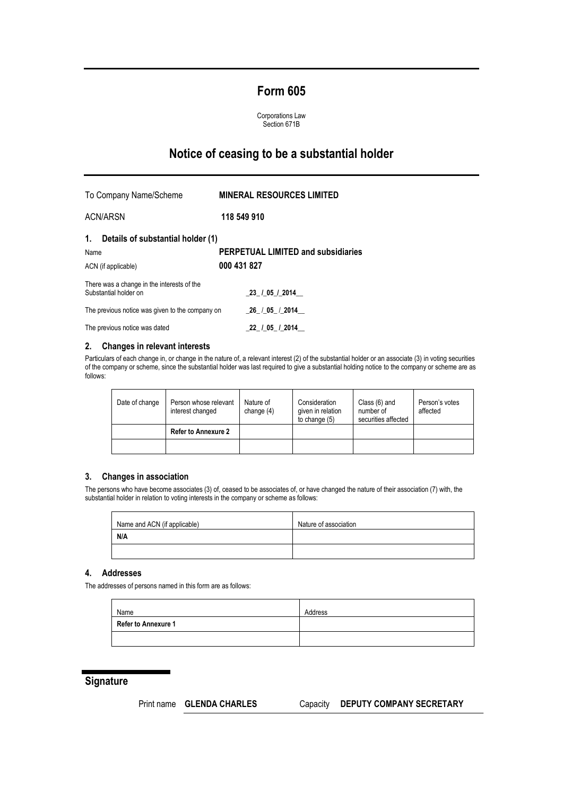# **Form 605**

Corporations Law Section 671B

# **Notice of ceasing to be a substantial holder**

To Company Name/Scheme **MINERAL RESOURCES LIMITED** ACN/ARSN **118 549 910 1. Details of substantial holder (1)** Name **PERPETUAL LIMITED and subsidiaries** ACN (if applicable) **000 431 827** There was a change in the interests of the Substantial holder on \_**23\_ /\_05\_/\_2014\_\_** The previous notice was given to the company on \_**26**\_ /\_**05\_** /\_**2014**\_\_ The previous notice was dated **\_22\_ /\_05\_ /\_2014\_\_**

### **2. Changes in relevant interests**

Particulars of each change in, or change in the nature of, a relevant interest (2) of the substantial holder or an associate (3) in voting securities of the company or scheme, since the substantial holder was last required to give a substantial holding notice to the company or scheme are as follows:

| Date of change | Person whose relevant<br>interest changed | Nature of<br>change $(4)$ | Consideration<br>given in relation<br>to change (5) | Class (6) and<br>number of<br>securities affected | Person's votes<br>affected |
|----------------|-------------------------------------------|---------------------------|-----------------------------------------------------|---------------------------------------------------|----------------------------|
|                | <b>Refer to Annexure 2</b>                |                           |                                                     |                                                   |                            |
|                |                                           |                           |                                                     |                                                   |                            |

### **3. Changes in association**

The persons who have become associates (3) of, ceased to be associates of, or have changed the nature of their association (7) with, the substantial holder in relation to voting interests in the company or scheme as follows:

| Name and ACN (if applicable) | Nature of association |
|------------------------------|-----------------------|
| N/A                          |                       |
|                              |                       |

## **4. Addresses**

The addresses of persons named in this form are as follows:

| Name                       | Address |
|----------------------------|---------|
| <b>Refer to Annexure 1</b> |         |
|                            |         |

## **Signature**

## Print name **GLENDA CHARLES** Capacity **DEPUTY COMPANY SECRETARY**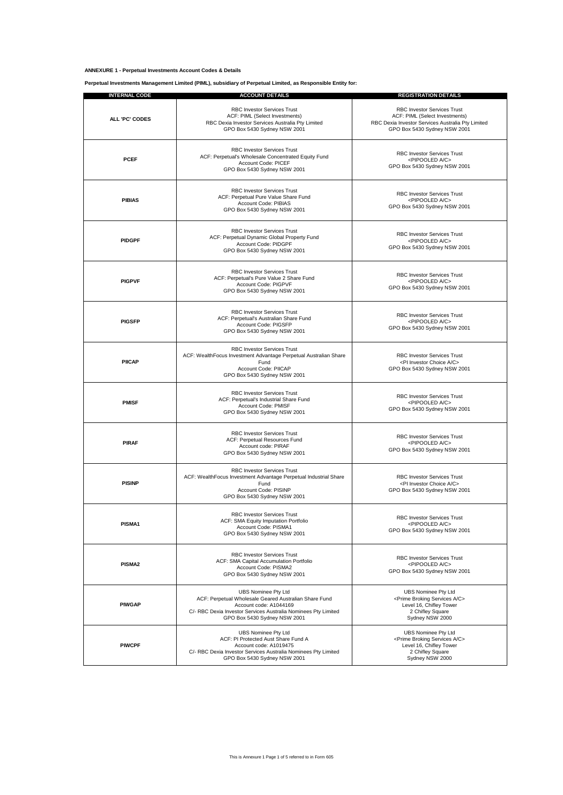#### **ANNEXURE 1 - Perpetual Investments Account Codes & Details**

**Perpetual Investments Management Limited (PIML), subsidiary of Perpetual Limited, as Responsible Entity for:**

| <b>INTERNAL CODE</b>                                                                                                                                                                                           | <b>ACCOUNT DETAILS</b>                                                                                                                                                                                          | <b>REGISTRATION DETAILS</b>                                                                                                                         |  |  |  |
|----------------------------------------------------------------------------------------------------------------------------------------------------------------------------------------------------------------|-----------------------------------------------------------------------------------------------------------------------------------------------------------------------------------------------------------------|-----------------------------------------------------------------------------------------------------------------------------------------------------|--|--|--|
| ALL 'PC' CODES                                                                                                                                                                                                 | RBC Investor Services Trust<br>ACF: PIML (Select Investments)<br>RBC Dexia Investor Services Australia Pty Limited<br>GPO Box 5430 Sydney NSW 2001                                                              | RBC Investor Services Trust<br>ACF: PIML (Select Investments)<br>RBC Dexia Investor Services Australia Pty Limited<br>GPO Box 5430 Sydney NSW 2001  |  |  |  |
| <b>PCEF</b>                                                                                                                                                                                                    | <b>RBC Investor Services Trust</b><br>ACF: Perpetual's Wholesale Concentrated Equity Fund<br>Account Code: PICEF<br>GPO Box 5430 Sydney NSW 2001                                                                | <b>RBC Investor Services Trust</b><br><pipooled a="" c=""><br/>GPO Box 5430 Sydney NSW 2001</pipooled>                                              |  |  |  |
| <b>PIBIAS</b>                                                                                                                                                                                                  | <b>RBC Investor Services Trust</b><br>ACF: Perpetual Pure Value Share Fund<br>Account Code: PIBIAS<br>GPO Box 5430 Sydney NSW 2001                                                                              | <b>RBC Investor Services Trust</b><br><pipooled a="" c=""><br/>GPO Box 5430 Sydney NSW 2001</pipooled>                                              |  |  |  |
| <b>PIDGPF</b>                                                                                                                                                                                                  | <b>RBC Investor Services Trust</b><br>ACF: Perpetual Dynamic Global Property Fund<br>Account Code: PIDGPF<br>GPO Box 5430 Sydney NSW 2001                                                                       | <b>RBC Investor Services Trust</b><br><pipooled a="" c=""><br/>GPO Box 5430 Sydney NSW 2001</pipooled>                                              |  |  |  |
| <b>PIGPVF</b>                                                                                                                                                                                                  | <b>RBC Investor Services Trust</b><br>ACF: Perpetual's Pure Value 2 Share Fund<br>Account Code: PIGPVF<br>GPO Box 5430 Sydney NSW 2001                                                                          | <b>RBC Investor Services Trust</b><br><pipooled a="" c=""><br/>GPO Box 5430 Sydney NSW 2001</pipooled>                                              |  |  |  |
| <b>PIGSFP</b>                                                                                                                                                                                                  | <b>RBC Investor Services Trust</b><br>ACF: Perpetual's Australian Share Fund<br>Account Code: PIGSFP<br>GPO Box 5430 Sydney NSW 2001                                                                            | <b>RBC Investor Services Trust</b><br><pipooled a="" c=""><br/>GPO Box 5430 Sydney NSW 2001</pipooled>                                              |  |  |  |
| <b>PIICAP</b>                                                                                                                                                                                                  | <b>RBC Investor Services Trust</b><br>ACF: WealthFocus Investment Advantage Perpetual Australian Share<br>Fund<br>Account Code: PIICAP<br>GPO Box 5430 Sydney NSW 2001                                          | <b>RBC Investor Services Trust</b><br><pi a="" c="" choice="" investor=""><br/>GPO Box 5430 Sydney NSW 2001</pi>                                    |  |  |  |
| <b>PMISF</b>                                                                                                                                                                                                   | <b>RBC Investor Services Trust</b><br>ACF: Perpetual's Industrial Share Fund<br>Account Code: PMISF<br>GPO Box 5430 Sydney NSW 2001                                                                             | <b>RBC Investor Services Trust</b><br><pipooled a="" c=""><br/>GPO Box 5430 Sydney NSW 2001</pipooled>                                              |  |  |  |
| <b>PIRAF</b>                                                                                                                                                                                                   | <b>RBC Investor Services Trust</b><br>ACF: Perpetual Resources Fund<br>Account code: PIRAF<br>GPO Box 5430 Sydney NSW 2001                                                                                      | <b>RBC Investor Services Trust</b><br><pipooled a="" c=""><br/>GPO Box 5430 Sydney NSW 2001</pipooled>                                              |  |  |  |
| <b>PISINP</b>                                                                                                                                                                                                  | RBC Investor Services Trust<br>ACF: WealthFocus Investment Advantage Perpetual Industrial Share<br>Fund<br>Account Code: PISINP<br>GPO Box 5430 Sydney NSW 2001                                                 | <b>RBC Investor Services Trust</b><br><pi a="" c="" choice="" investor=""><br/>GPO Box 5430 Sydney NSW 2001</pi>                                    |  |  |  |
| PISMA1                                                                                                                                                                                                         | RBC Investor Services Trust<br>ACF: SMA Equity Imputation Portfolio<br>Account Code: PISMA1<br>GPO Box 5430 Sydney NSW 2001                                                                                     | <b>RBC Investor Services Trust</b><br><pipooled a="" c=""><br/>GPO Box 5430 Sydney NSW 2001</pipooled>                                              |  |  |  |
| PISMA2                                                                                                                                                                                                         | <b>RBC Investor Services Trust</b><br>ACF: SMA Capital Accumulation Portfolio<br>Account Code: PISMA2<br>GPO Box 5430 Sydney NSW 2001                                                                           | <b>RBC Investor Services Trust</b><br><pipooled a="" c=""><br/>GPO Box 5430 Sydney NSW 2001</pipooled>                                              |  |  |  |
| <b>PIWGAP</b>                                                                                                                                                                                                  | <b>UBS Nominee Pty Ltd</b><br>ACF: Perpetual Wholesale Geared Australian Share Fund<br>Account code: A1044169<br>C/- RBC Dexia Investor Services Australia Nominees Pty Limited<br>GPO Box 5430 Sydney NSW 2001 | UBS Nominee Pty Ltd<br><prime a="" broking="" c="" services=""><br/>Level 16, Chifley Tower<br/>2 Chifley Square<br/>Sydney NSW 2000</prime>        |  |  |  |
| <b>UBS Nominee Pty Ltd</b><br>ACF: PI Protected Aust Share Fund A<br><b>PIWCPF</b><br>Account code: A1019475<br>C/- RBC Dexia Investor Services Australia Nominees Pty Limited<br>GPO Box 5430 Sydney NSW 2001 |                                                                                                                                                                                                                 | <b>UBS Nominee Pty Ltd</b><br><prime a="" broking="" c="" services=""><br/>Level 16, Chifley Tower<br/>2 Chifley Square<br/>Sydney NSW 2000</prime> |  |  |  |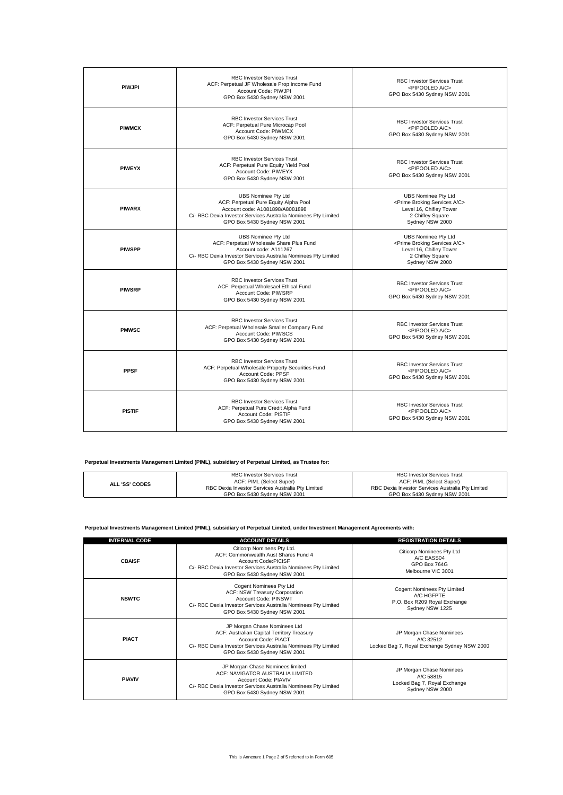| <b>PIWJPI</b>                                                                                                                                    | <b>RBC Investor Services Trust</b><br>ACF: Perpetual JF Wholesale Prop Income Fund<br>Account Code: PIWJPI<br>GPO Box 5430 Sydney NSW 2001                                                        | <b>RBC Investor Services Trust</b><br><pipooled a="" c=""><br/>GPO Box 5430 Sydney NSW 2001</pipooled>                                              |  |  |  |
|--------------------------------------------------------------------------------------------------------------------------------------------------|---------------------------------------------------------------------------------------------------------------------------------------------------------------------------------------------------|-----------------------------------------------------------------------------------------------------------------------------------------------------|--|--|--|
| <b>RBC Investor Services Trust</b><br>ACF: Perpetual Pure Microcap Pool<br><b>PIWMCX</b><br>Account Code: PIWMCX<br>GPO Box 5430 Sydney NSW 2001 |                                                                                                                                                                                                   | <b>RBC Investor Services Trust</b><br><pipooled a="" c=""><br/>GPO Box 5430 Sydney NSW 2001</pipooled>                                              |  |  |  |
| <b>PIWEYX</b>                                                                                                                                    | <b>RBC Investor Services Trust</b><br>ACF: Perpetual Pure Equity Yield Pool<br>Account Code: PIWEYX<br>GPO Box 5430 Sydney NSW 2001                                                               | <b>RBC Investor Services Trust</b><br><pipooled a="" c=""><br/>GPO Box 5430 Sydney NSW 2001</pipooled>                                              |  |  |  |
| <b>PIWARX</b>                                                                                                                                    | UBS Nominee Pty Ltd<br>ACF: Perpetual Pure Equity Alpha Pool<br>Account code: A1081898/A8081898<br>C/- RBC Dexia Investor Services Australia Nominees Pty Limited<br>GPO Box 5430 Sydney NSW 2001 | UBS Nominee Pty Ltd<br><prime a="" broking="" c="" services=""><br/>Level 16, Chifley Tower<br/>2 Chifley Square<br/>Sydney NSW 2000</prime>        |  |  |  |
| <b>PIWSPP</b>                                                                                                                                    | UBS Nominee Pty Ltd<br>ACF: Perpetual Wholesale Share Plus Fund<br>Account code: A111267<br>C/- RBC Dexia Investor Services Australia Nominees Pty Limited<br>GPO Box 5430 Sydney NSW 2001        | <b>UBS Nominee Pty Ltd</b><br><prime a="" broking="" c="" services=""><br/>Level 16, Chifley Tower<br/>2 Chifley Square<br/>Sydney NSW 2000</prime> |  |  |  |
| <b>PIWSRP</b>                                                                                                                                    | <b>RBC Investor Services Trust</b><br>ACF: Perpetual Wholesael Ethical Fund<br>Account Code: PIWSRP<br>GPO Box 5430 Sydney NSW 2001                                                               | <b>RBC Investor Services Trust</b><br><pipooled a="" c=""><br/>GPO Box 5430 Sydney NSW 2001</pipooled>                                              |  |  |  |
| <b>PMWSC</b>                                                                                                                                     | <b>RBC Investor Services Trust</b><br>ACF: Perpetual Wholesale Smaller Company Fund<br>Account Code: PIWSCS<br>GPO Box 5430 Sydney NSW 2001                                                       | <b>RBC Investor Services Trust</b><br><pipooled a="" c=""><br/>GPO Box 5430 Sydney NSW 2001</pipooled>                                              |  |  |  |
| <b>PPSF</b>                                                                                                                                      | <b>RBC Investor Services Trust</b><br>ACF: Perpetual Wholesale Property Securities Fund<br>Account Code: PPSF<br>GPO Box 5430 Sydney NSW 2001                                                     | <b>RBC Investor Services Trust</b><br><pipooled a="" c=""><br/>GPO Box 5430 Sydney NSW 2001</pipooled>                                              |  |  |  |
| <b>PISTIF</b>                                                                                                                                    | <b>RBC Investor Services Trust</b><br>ACF: Perpetual Pure Credit Alpha Fund<br>Account Code: PISTIF<br>GPO Box 5430 Sydney NSW 2001                                                               | <b>RBC Investor Services Trust</b><br><pipooled a="" c=""><br/>GPO Box 5430 Sydney NSW 2001</pipooled>                                              |  |  |  |

### **Perpetual Investments Management Limited (PIML), subsidiary of Perpetual Limited, as Trustee for:**

|                       | <b>RBC Investor Services Trust</b>                | RBC Investor Services Trust                       |  |  |
|-----------------------|---------------------------------------------------|---------------------------------------------------|--|--|
| <b>ALL 'SS' CODES</b> | ACF: PIML (Select Super)                          | ACF: PIML (Select Super)                          |  |  |
|                       | RBC Dexia Investor Services Australia Pty Limited | RBC Dexia Investor Services Australia Pty Limited |  |  |
|                       | GPO Box 5430 Svdney NSW 2001                      | GPO Box 5430 Svdnev NSW 2001                      |  |  |

#### **Perpetual Investments Management Limited (PIML), subsidiary of Perpetual Limited, under Investment Management Agreements with:**

| <b>INTERNAL CODE</b> | <b>ACCOUNT DETAILS</b>                                                                                                                                                                              | <b>REGISTRATION DETAILS</b>                                                                  |
|----------------------|-----------------------------------------------------------------------------------------------------------------------------------------------------------------------------------------------------|----------------------------------------------------------------------------------------------|
| <b>CBAISF</b>        | Citicorp Nominees Pty Ltd.<br>ACF: Commonwealth Aust Shares Fund 4<br>Account Code:PICISE<br>C/- RBC Dexia Investor Services Australia Nominees Pty Limited<br>GPO Box 5430 Sydney NSW 2001         | Citicorp Nominees Pty Ltd<br>A/C EASS04<br>GPO Box 764G<br>Melbourne VIC 3001                |
| <b>NSWTC</b>         | Cogent Nominees Pty Ltd<br>ACF: NSW Treasury Corporation<br>Account Code: PINSWT<br>C/- RBC Dexia Investor Services Australia Nominees Pty Limited<br>GPO Box 5430 Sydney NSW 2001                  | Cogent Nominees Pty Limited<br>A/C HGFPTE<br>P.O. Box R209 Royal Exchange<br>Sydney NSW 1225 |
| <b>PIACT</b>         | JP Morgan Chase Nominees Ltd<br>ACF: Australian Capital Territory Treasury<br>Account Code: PIACT<br>C/- RBC Dexia Investor Services Australia Nominees Pty Limited<br>GPO Box 5430 Sydney NSW 2001 | JP Morgan Chase Nominees<br>A/C 32512<br>Locked Bag 7, Royal Exchange Sydney NSW 2000        |
| <b>PIAVIV</b>        | JP Morgan Chase Nominees limited<br>ACF: NAVIGATOR AUSTRALIA LIMITED<br>Account Code: PIAVIV<br>C/- RBC Dexia Investor Services Australia Nominees Pty Limited<br>GPO Box 5430 Sydney NSW 2001      | JP Morgan Chase Nominees<br>A/C 58815<br>Locked Bag 7, Royal Exchange<br>Sydney NSW 2000     |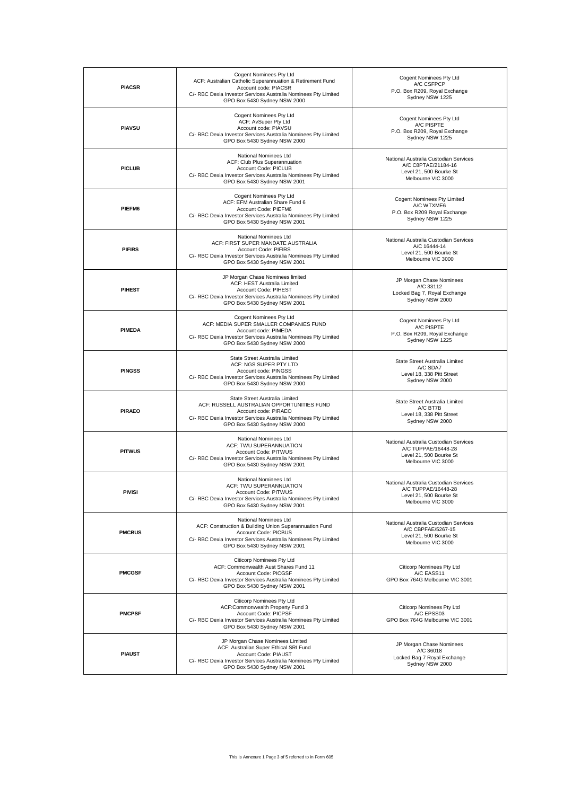| <b>PIACSR</b>                                                                                                                                                                                                         | Cogent Nominees Pty Ltd<br>ACF: Australian Catholic Superannuation & Retirement Fund<br>Account code: PIACSR<br>C/- RBC Dexia Investor Services Australia Nominees Pty Limited<br>GPO Box 5430 Sydney NSW 2000 | Cogent Nominees Pty Ltd<br>A/C CSFPCP<br>P.O. Box R209, Royal Exchange<br>Sydney NSW 1225                     |  |  |
|-----------------------------------------------------------------------------------------------------------------------------------------------------------------------------------------------------------------------|----------------------------------------------------------------------------------------------------------------------------------------------------------------------------------------------------------------|---------------------------------------------------------------------------------------------------------------|--|--|
| <b>PIAVSU</b>                                                                                                                                                                                                         | Cogent Nominees Pty Ltd<br>ACF: AvSuper Pty Ltd<br>Account code: PIAVSU<br>C/- RBC Dexia Investor Services Australia Nominees Pty Limited<br>GPO Box 5430 Sydney NSW 2000                                      | Cogent Nominees Pty Ltd<br>A/C PISPTE<br>P.O. Box R209, Royal Exchange<br>Sydney NSW 1225                     |  |  |
| <b>PICLUB</b>                                                                                                                                                                                                         | National Nominees Ltd<br>ACF: Club Plus Superannuation<br>Account Code: PICLUB<br>C/- RBC Dexia Investor Services Australia Nominees Pty Limited<br>GPO Box 5430 Sydney NSW 2001                               | National Australia Custodian Services<br>A/C C8PTAE/21184-16<br>Level 21, 500 Bourke St<br>Melbourne VIC 3000 |  |  |
| PIEFM6                                                                                                                                                                                                                | Cogent Nominees Pty Ltd<br>ACF: EFM Australian Share Fund 6<br>Account Code: PIEFM6<br>C/- RBC Dexia Investor Services Australia Nominees Pty Limited<br>GPO Box 5430 Sydney NSW 2001                          | Cogent Nominees Pty Limited<br>A/C WTXME6<br>P.O. Box R209 Royal Exchange<br>Sydney NSW 1225                  |  |  |
| <b>PIFIRS</b>                                                                                                                                                                                                         | National Nominees Ltd<br>ACF: FIRST SUPER MANDATE AUSTRALIA<br>Account Code: PIFIRS<br>C/- RBC Dexia Investor Services Australia Nominees Pty Limited<br>GPO Box 5430 Sydney NSW 2001                          | National Australia Custodian Services<br>A/C 16444-14<br>Level 21, 500 Bourke St<br>Melbourne VIC 3000        |  |  |
| JP Morgan Chase Nominees limited<br>ACF: HEST Australia Limited<br><b>PIHEST</b><br>Account Code: PIHEST<br>C/- RBC Dexia Investor Services Australia Nominees Pty Limited<br>GPO Box 5430 Sydney NSW 2001            |                                                                                                                                                                                                                | JP Morgan Chase Nominees<br>A/C 33112<br>Locked Bag 7, Royal Exchange<br>Sydney NSW 2000                      |  |  |
| <b>PIMEDA</b>                                                                                                                                                                                                         | Cogent Nominees Pty Ltd<br>ACF: MEDIA SUPER SMALLER COMPANIES FUND<br>Account code: PIMEDA<br>C/- RBC Dexia Investor Services Australia Nominees Pty Limited<br>GPO Box 5430 Sydney NSW 2000                   | <b>Cogent Nominees Pty Ltd</b><br>A/C PISPTE<br>P.O. Box R209, Royal Exchange<br>Sydney NSW 1225              |  |  |
| State Street Australia Limited<br>ACF: NGS SUPER PTY LTD<br><b>PINGSS</b><br>Account code: PINGSS<br>C/- RBC Dexia Investor Services Australia Nominees Pty Limited<br>GPO Box 5430 Sydney NSW 2000                   |                                                                                                                                                                                                                | State Street Australia Limited<br>A/C SDA7<br>Level 18, 338 Pitt Street<br>Sydney NSW 2000                    |  |  |
| <b>PIRAEO</b>                                                                                                                                                                                                         | State Street Australia Limited<br>ACF: RUSSELL AUSTRALIAN OPPORTUNITIES FUND<br>Account code: PIRAEO<br>C/- RBC Dexia Investor Services Australia Nominees Pty Limited<br>GPO Box 5430 Sydney NSW 2000         | State Street Australia Limited<br>A/C BT7B<br>Level 18, 338 Pitt Street<br>Sydney NSW 2000                    |  |  |
| <b>PITWUS</b>                                                                                                                                                                                                         | National Nominees Ltd<br>ACF: TWU SUPERANNUATION<br>Account Code: PITWUS<br>C/- RBC Dexia Investor Services Australia Nominees Pty Limited<br>GPO Box 5430 Sydney NSW 2001                                     | National Australia Custodian Services<br>A/C TUPPAE/16448-28<br>Level 21, 500 Bourke St<br>Melbourne VIC 3000 |  |  |
| <b>PIVISI</b>                                                                                                                                                                                                         | National Nominees Ltd<br>ACF: TWU SUPERANNUATION<br>Account Code: PITWUS<br>C/- RBC Dexia Investor Services Australia Nominees Pty Limited<br>GPO Box 5430 Sydney NSW 2001                                     | National Australia Custodian Services<br>A/C TUPPAE/16448-28<br>Level 21, 500 Bourke St<br>Melbourne VIC 3000 |  |  |
| <b>PMCBUS</b>                                                                                                                                                                                                         | National Nominees Ltd<br>ACF: Construction & Building Union Superannuation Fund<br>Account Code: PICBUS<br>C/- RBC Dexia Investor Services Australia Nominees Pty Limited<br>GPO Box 5430 Sydney NSW 2001      | National Australia Custodian Services<br>A/C CBPFAE/5267-15<br>Level 21, 500 Bourke St<br>Melbourne VIC 3000  |  |  |
| <b>PMCGSF</b>                                                                                                                                                                                                         | Citicorp Nominees Pty Ltd<br>ACF: Commonwealth Aust Shares Fund 11<br>Account Code: PICGSF<br>C/- RBC Dexia Investor Services Australia Nominees Pty Limited<br>GPO Box 5430 Sydney NSW 2001                   | <b>Citicorp Nominees Pty Ltd</b><br>A/C EASS11<br>GPO Box 764G Melbourne VIC 3001                             |  |  |
| <b>PMCPSF</b>                                                                                                                                                                                                         | Citicorp Nominees Pty Ltd<br>ACF:Commonwealth Property Fund 3<br>Account Code: PICPSF<br>C/- RBC Dexia Investor Services Australia Nominees Pty Limited<br>GPO Box 5430 Sydney NSW 2001                        | Citicorp Nominees Pty Ltd<br>A/C EPSS03<br>GPO Box 764G Melbourne VIC 3001                                    |  |  |
| JP Morgan Chase Nominees Limited<br>ACF: Australian Super Ethical SRI Fund<br><b>PIAUST</b><br>Account Code: PIAUST<br>C/- RBC Dexia Investor Services Australia Nominees Pty Limited<br>GPO Box 5430 Sydney NSW 2001 |                                                                                                                                                                                                                | JP Morgan Chase Nominees<br>A/C 36018<br>Locked Bag 7 Royal Exchange<br>Sydney NSW 2000                       |  |  |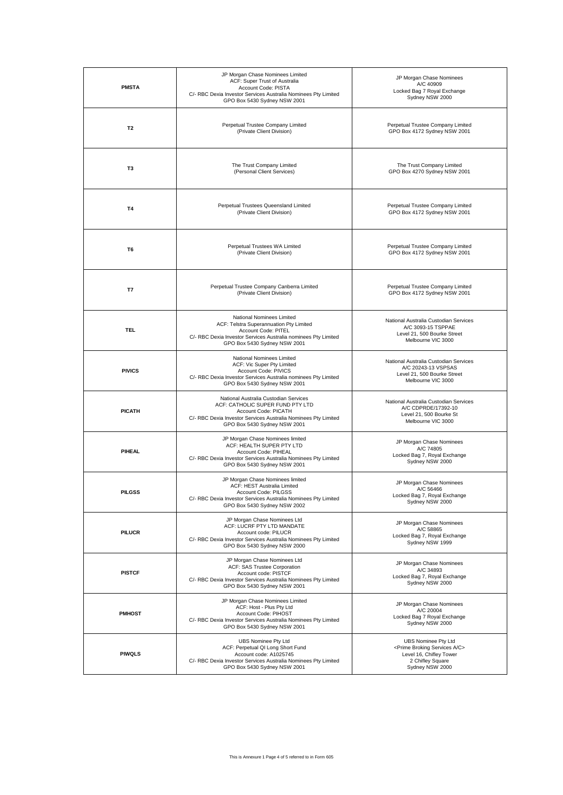| <b>PMSTA</b>                                                                                                                                                                                               | JP Morgan Chase Nominees Limited<br>ACF: Super Trust of Australia<br>Account Code: PISTA<br>C/- RBC Dexia Investor Services Australia Nominees Pty Limited<br>GPO Box 5430 Sydney NSW 2001          | JP Morgan Chase Nominees<br>A/C 40909<br>Locked Bag 7 Royal Exchange<br>Sydney NSW 2000                                                      |  |  |  |
|------------------------------------------------------------------------------------------------------------------------------------------------------------------------------------------------------------|-----------------------------------------------------------------------------------------------------------------------------------------------------------------------------------------------------|----------------------------------------------------------------------------------------------------------------------------------------------|--|--|--|
| T <sub>2</sub>                                                                                                                                                                                             | Perpetual Trustee Company Limited<br>(Private Client Division)                                                                                                                                      | Perpetual Trustee Company Limited<br>GPO Box 4172 Sydney NSW 2001                                                                            |  |  |  |
| T <sub>3</sub>                                                                                                                                                                                             | The Trust Company Limited<br>(Personal Client Services)                                                                                                                                             | The Trust Company Limited<br>GPO Box 4270 Sydney NSW 2001                                                                                    |  |  |  |
| T4                                                                                                                                                                                                         | Perpetual Trustees Queensland Limited<br>(Private Client Division)                                                                                                                                  | Perpetual Trustee Company Limited<br>GPO Box 4172 Sydney NSW 2001                                                                            |  |  |  |
| T <sub>6</sub>                                                                                                                                                                                             | Perpetual Trustees WA Limited<br>(Private Client Division)                                                                                                                                          | Perpetual Trustee Company Limited<br>GPO Box 4172 Sydney NSW 2001                                                                            |  |  |  |
| Perpetual Trustee Company Canberra Limited<br>T7<br>(Private Client Division)                                                                                                                              |                                                                                                                                                                                                     | Perpetual Trustee Company Limited<br>GPO Box 4172 Sydney NSW 2001                                                                            |  |  |  |
| <b>TEL</b>                                                                                                                                                                                                 | National Nominees Limited<br>ACF: Telstra Superannuation Pty Limited<br>Account Code: PITEL<br>C/- RBC Dexia Investor Services Australia nominees Pty Limited<br>GPO Box 5430 Sydney NSW 2001       | National Australia Custodian Services<br>A/C 3093-15 TSPPAE<br>Level 21, 500 Bourke Street<br>Melbourne VIC 3000                             |  |  |  |
| National Nominees Limited<br>ACF: Vic Super Pty Limited<br><b>PIVICS</b><br>Account Code: PIVICS<br>C/- RBC Dexia Investor Services Australia nominees Pty Limited<br>GPO Box 5430 Sydney NSW 2001         |                                                                                                                                                                                                     | National Australia Custodian Services<br>A/C 20243-13 VSPSAS<br>Level 21, 500 Bourke Street<br>Melbourne VIC 3000                            |  |  |  |
| <b>PICATH</b>                                                                                                                                                                                              | National Australia Custodian Services<br>ACF: CATHOLIC SUPER FUND PTY LTD<br>Account Code: PICATH<br>C/- RBC Dexia Investor Services Australia Nominees Pty Limited<br>GPO Box 5430 Sydney NSW 2001 | National Australia Custodian Services<br>A/C CDPRDE/17392-10<br>Level 21, 500 Bourke St<br>Melbourne VIC 3000                                |  |  |  |
| <b>PIHEAL</b>                                                                                                                                                                                              | JP Morgan Chase Nominees limited<br>ACF: HEALTH SUPER PTY LTD<br>Account Code: PIHEAL<br>C/- RBC Dexia Investor Services Australia Nominees Pty Limited<br>GPO Box 5430 Sydney NSW 2001             | JP Morgan Chase Nominees<br>A/C 74805<br>Locked Bag 7, Royal Exchange<br>Sydney NSW 2000                                                     |  |  |  |
| JP Morgan Chase Nominees limited<br>ACF: HEST Australia Limited<br><b>PILGSS</b><br>Account Code: PILGSS<br>C/- RBC Dexia Investor Services Australia Nominees Pty Limited<br>GPO Box 5430 Sydney NSW 2002 |                                                                                                                                                                                                     | JP Morgan Chase Nominees<br>A/C 56466<br>Locked Bag 7, Royal Exchange<br>Sydney NSW 2000                                                     |  |  |  |
| PILUCR                                                                                                                                                                                                     | JP Morgan Chase Nominees Ltd<br>ACF: LUCRF PTY LTD MANDATE<br>Account code: PILUCR<br>C/- RBC Dexia Investor Services Australia Nominees Pty Limited<br>GPO Box 5430 Sydney NSW 2000                | JP Morgan Chase Nominees<br>A/C 58865<br>Locked Bag 7, Royal Exchange<br>Sydney NSW 1999                                                     |  |  |  |
| JP Morgan Chase Nominees Ltd<br>ACF: SAS Trustee Corporation<br><b>PISTCF</b><br>Account code: PISTCF<br>C/- RBC Dexia Investor Services Australia Nominees Pty Limited<br>GPO Box 5430 Sydney NSW 2001    |                                                                                                                                                                                                     | JP Morgan Chase Nominees<br>A/C 34893<br>Locked Bag 7, Royal Exchange<br>Sydney NSW 2000                                                     |  |  |  |
| <b>PMHOST</b>                                                                                                                                                                                              | JP Morgan Chase Nominees Limited<br>ACF: Host - Plus Pty Ltd<br>Account Code: PIHOST<br>C/- RBC Dexia Investor Services Australia Nominees Pty Limited<br>GPO Box 5430 Sydney NSW 2001              | JP Morgan Chase Nominees<br>A/C 20004<br>Locked Bag 7 Royal Exchange<br>Sydney NSW 2000                                                      |  |  |  |
| UBS Nominee Pty Ltd<br>ACF: Perpetual QI Long Short Fund<br><b>PIWQLS</b><br>Account code: A1025745<br>C/- RBC Dexia Investor Services Australia Nominees Pty Limited<br>GPO Box 5430 Sydney NSW 2001      |                                                                                                                                                                                                     | UBS Nominee Pty Ltd<br><prime a="" broking="" c="" services=""><br/>Level 16, Chifley Tower<br/>2 Chifley Square<br/>Sydney NSW 2000</prime> |  |  |  |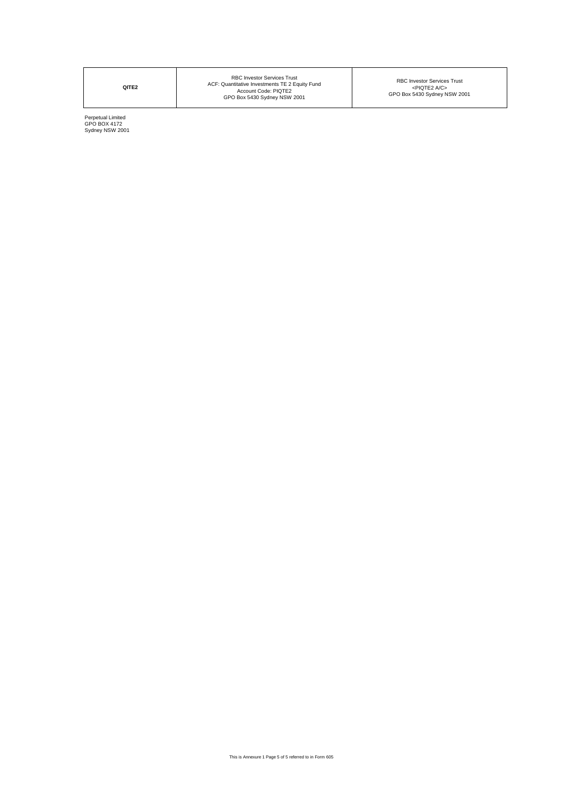**QITE2**

RBC Investor Services Trust <PIQTE2 A/C> GPO Box 5430 Sydney NSW 2001

Perpetual Limited GPO BOX 4172 Sydney NSW 2001